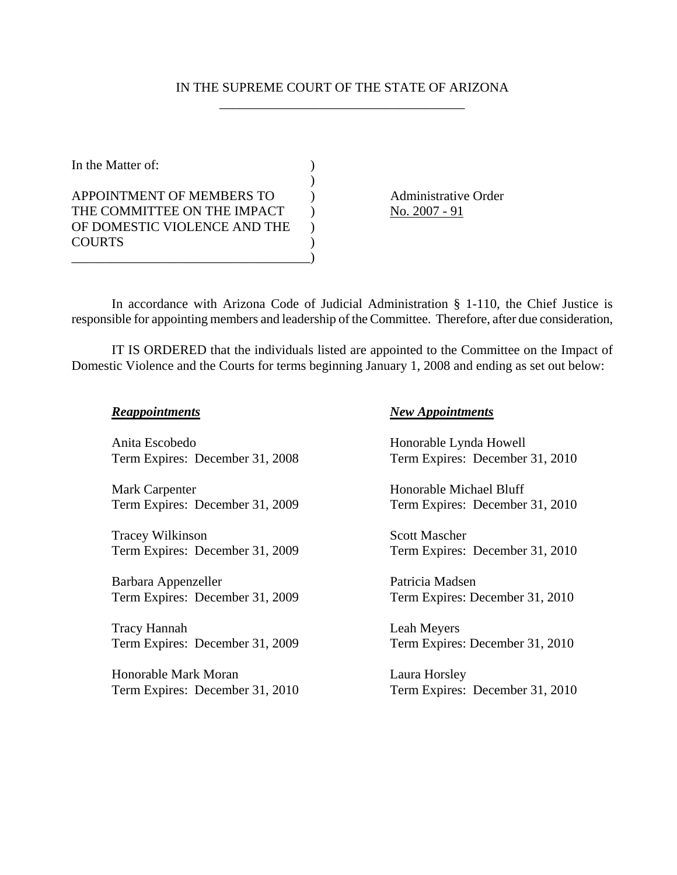## IN THE SUPREME COURT OF THE STATE OF ARIZONA \_\_\_\_\_\_\_\_\_\_\_\_\_\_\_\_\_\_\_\_\_\_\_\_\_\_\_\_\_\_\_\_\_\_\_\_\_

In the Matter of:  $\qquad \qquad$  ) ) APPOINTMENT OF MEMBERS TO Administrative Order THE COMMITTEE ON THE IMPACT  $\bigcup_{n=1}^{\infty}$  No. 2007 - 91 OF DOMESTIC VIOLENCE AND THE ) COURTS ) \_\_\_\_\_\_\_\_\_\_\_\_\_\_\_\_\_\_\_\_\_\_\_\_\_\_\_\_\_\_\_\_\_\_\_\_)

In accordance with Arizona Code of Judicial Administration § 1-110, the Chief Justice is responsible for appointing members and leadership of the Committee. Therefore, after due consideration,

IT IS ORDERED that the individuals listed are appointed to the Committee on the Impact of Domestic Violence and the Courts for terms beginning January 1, 2008 and ending as set out below:

| <b>Reappointments</b>           | <b>New Appointments</b>         |
|---------------------------------|---------------------------------|
| Anita Escobedo                  | Honorable Lynda Howell          |
| Term Expires: December 31, 2008 | Term Expires: December 31, 2010 |
| Mark Carpenter                  | Honorable Michael Bluff         |
| Term Expires: December 31, 2009 | Term Expires: December 31, 2010 |
| Tracey Wilkinson                | <b>Scott Mascher</b>            |
| Term Expires: December 31, 2009 | Term Expires: December 31, 2010 |
| Barbara Appenzeller             | Patricia Madsen                 |
| Term Expires: December 31, 2009 | Term Expires: December 31, 2010 |
| <b>Tracy Hannah</b>             | Leah Meyers                     |
| Term Expires: December 31, 2009 | Term Expires: December 31, 2010 |
| Honorable Mark Moran            | Laura Horsley                   |
| Term Expires: December 31, 2010 | Term Expires: December 31, 2010 |
|                                 |                                 |